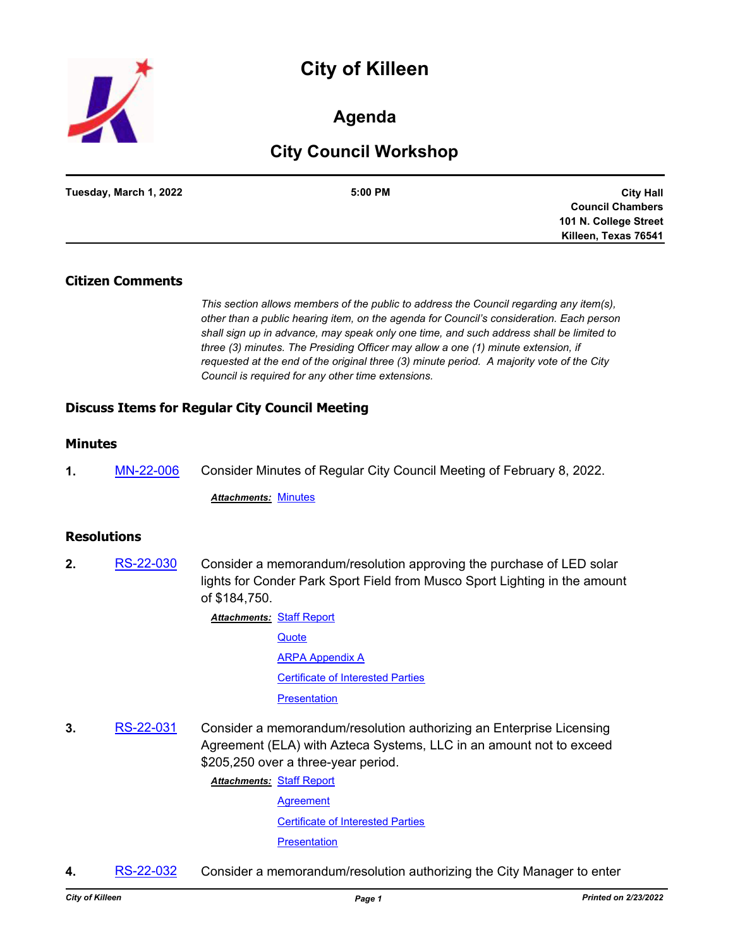# **City of Killeen**



### **Agenda**

## **City Council Workshop**

| Tuesday, March 1, 2022 | 5:00 PM | <b>City Hall</b>        |
|------------------------|---------|-------------------------|
|                        |         | <b>Council Chambers</b> |
|                        |         | 101 N. College Street   |
|                        |         | Killeen, Texas 76541    |

#### **Citizen Comments**

*This section allows members of the public to address the Council regarding any item(s), other than a public hearing item, on the agenda for Council's consideration. Each person shall sign up in advance, may speak only one time, and such address shall be limited to three (3) minutes. The Presiding Officer may allow a one (1) minute extension, if requested at the end of the original three (3) minute period. A majority vote of the City Council is required for any other time extensions.*

### **Discuss Items for Regular City Council Meeting**

#### **Minutes**

**1.** [MN-22-006](http://killeen.legistar.com/gateway.aspx?m=l&id=/matter.aspx?key=5983) Consider Minutes of Regular City Council Meeting of February 8, 2022.

*Attachments:* [Minutes](http://killeen.legistar.com/gateway.aspx?M=F&ID=a5917534-c3d8-43a5-926b-77955a1482b3.pdf)

#### **Resolutions**

**2.** [RS-22-030](http://killeen.legistar.com/gateway.aspx?m=l&id=/matter.aspx?key=5964) Consider a memorandum/resolution approving the purchase of LED solar lights for Conder Park Sport Field from Musco Sport Lighting in the amount of \$184,750.

> **Attachments: [Staff Report](http://killeen.legistar.com/gateway.aspx?M=F&ID=74ead736-d2dd-4da6-9e7c-9a2b01aac436.pdf) [Quote](http://killeen.legistar.com/gateway.aspx?M=F&ID=1792d3b4-3f1d-4c63-9090-54dad1b46006.pdf)** [ARPA Appendix A](http://killeen.legistar.com/gateway.aspx?M=F&ID=da6580ff-2b64-45f0-99fe-7938424d4bd7.pdf) [Certificate of Interested Parties](http://killeen.legistar.com/gateway.aspx?M=F&ID=c18d4e12-a75e-4662-b39a-983f6677d141.pdf) **[Presentation](http://killeen.legistar.com/gateway.aspx?M=F&ID=ba3e7b53-2d29-4fa7-8589-b33a55210bd3.pdf)**

**3.** [RS-22-031](http://killeen.legistar.com/gateway.aspx?m=l&id=/matter.aspx?key=5977) Consider a memorandum/resolution authorizing an Enterprise Licensing Agreement (ELA) with Azteca Systems, LLC in an amount not to exceed \$205,250 over a three-year period.

[Staff Report](http://killeen.legistar.com/gateway.aspx?M=F&ID=6e56a0d6-69cf-4ec9-8267-899bca187909.pdf) *Attachments:*

**[Agreement](http://killeen.legistar.com/gateway.aspx?M=F&ID=cf0958eb-536b-4204-ae7b-8312bedb3c0d.pdf)** [Certificate of Interested Parties](http://killeen.legistar.com/gateway.aspx?M=F&ID=0e778716-29e6-4edb-bf6e-5a3a30579918.pdf) **[Presentation](http://killeen.legistar.com/gateway.aspx?M=F&ID=740f9617-9ae7-4769-b8bd-66b8f7725505.pdf)** 

**4.** [RS-22-032](http://killeen.legistar.com/gateway.aspx?m=l&id=/matter.aspx?key=5979) Consider a memorandum/resolution authorizing the City Manager to enter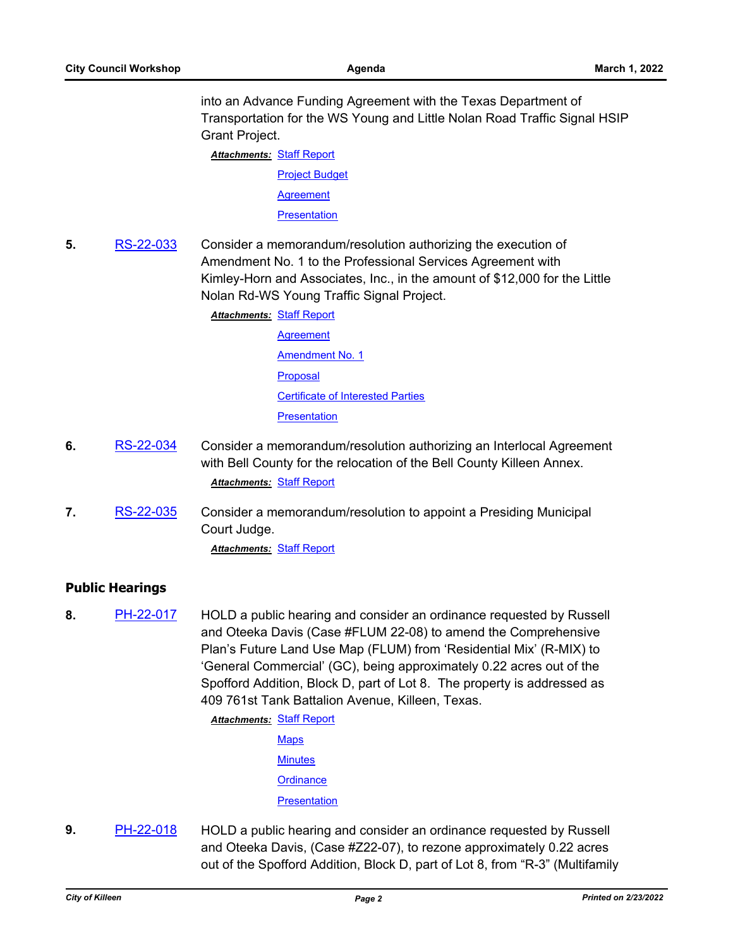into an Advance Funding Agreement with the Texas Department of Transportation for the WS Young and Little Nolan Road Traffic Signal HSIP Grant Project.

**Attachments: [Staff Report](http://killeen.legistar.com/gateway.aspx?M=F&ID=4fba92ae-961e-489a-91d8-f5f99cfa8390.pdf)** 

[Project Budget](http://killeen.legistar.com/gateway.aspx?M=F&ID=e983bd93-07c1-4701-84b9-64f639878adb.pdf) **[Agreement](http://killeen.legistar.com/gateway.aspx?M=F&ID=52480a64-e600-43ad-99f7-8454e3c8bc88.pdf)** 

**[Presentation](http://killeen.legistar.com/gateway.aspx?M=F&ID=1be771a8-e54f-4643-90be-015b692eec52.pdf)** 

**5.** [RS-22-033](http://killeen.legistar.com/gateway.aspx?m=l&id=/matter.aspx?key=5978) Consider a memorandum/resolution authorizing the execution of Amendment No. 1 to the Professional Services Agreement with Kimley-Horn and Associates, Inc., in the amount of \$12,000 for the Little Nolan Rd-WS Young Traffic Signal Project.

**Attachments: [Staff Report](http://killeen.legistar.com/gateway.aspx?M=F&ID=d62ec1b0-16f1-4aee-8708-f54e90cb4fa0.pdf)** 

- **[Agreement](http://killeen.legistar.com/gateway.aspx?M=F&ID=7c3455d8-4a2e-4d6b-8d09-9c6026575f01.pdf)** [Amendment No. 1](http://killeen.legistar.com/gateway.aspx?M=F&ID=e1264ff7-4701-4c1b-8e1f-d98f224ea1e5.pdf) [Proposal](http://killeen.legistar.com/gateway.aspx?M=F&ID=6bfbf50e-730e-42b3-9422-13ac083eb133.pdf) [Certificate of Interested Parties](http://killeen.legistar.com/gateway.aspx?M=F&ID=aaf11bed-2007-4986-8c7c-e612290bc0cf.pdf) **[Presentation](http://killeen.legistar.com/gateway.aspx?M=F&ID=39346fdb-87e1-4155-9693-f7a5d2f8e57c.pdf)**
- **6.** [RS-22-034](http://killeen.legistar.com/gateway.aspx?m=l&id=/matter.aspx?key=5995) Consider a memorandum/resolution authorizing an Interlocal Agreement with Bell County for the relocation of the Bell County Killeen Annex. *Attachments:* [Staff Report](http://killeen.legistar.com/gateway.aspx?M=F&ID=7973aa19-eacc-4188-a131-443154a4ba28.pdf)
- **7.** [RS-22-035](http://killeen.legistar.com/gateway.aspx?m=l&id=/matter.aspx?key=6016) Consider a memorandum/resolution to appoint a Presiding Municipal Court Judge.

*Attachments:* [Staff Report](http://killeen.legistar.com/gateway.aspx?M=F&ID=dc4cb3d1-632a-4e7d-b261-d819f0045370.pdf)

### **Public Hearings**

**8.** [PH-22-017](http://killeen.legistar.com/gateway.aspx?m=l&id=/matter.aspx?key=5950) HOLD a public hearing and consider an ordinance requested by Russell and Oteeka Davis (Case #FLUM 22-08) to amend the Comprehensive Plan's Future Land Use Map (FLUM) from 'Residential Mix' (R-MIX) to 'General Commercial' (GC), being approximately 0.22 acres out of the Spofford Addition, Block D, part of Lot 8. The property is addressed as 409 761st Tank Battalion Avenue, Killeen, Texas.

**Attachments: [Staff Report](http://killeen.legistar.com/gateway.aspx?M=F&ID=031f4742-df33-47f3-8808-40f83f45d7b5.pdf)** 

- [Maps](http://killeen.legistar.com/gateway.aspx?M=F&ID=15d965c3-7c07-4210-bef5-7810864ca0ea.pdf) **[Minutes](http://killeen.legistar.com/gateway.aspx?M=F&ID=5a99fabc-9085-4289-9d07-298561f1045c.pdf) [Ordinance](http://killeen.legistar.com/gateway.aspx?M=F&ID=033369cd-38d6-4536-b3ad-9c44afd8349a.pdf) [Presentation](http://killeen.legistar.com/gateway.aspx?M=F&ID=333e9fdd-05a2-48d6-98c7-80e377c72e57.pdf)**
- **9.** [PH-22-018](http://killeen.legistar.com/gateway.aspx?m=l&id=/matter.aspx?key=5949) HOLD a public hearing and consider an ordinance requested by Russell and Oteeka Davis, (Case #Z22-07), to rezone approximately 0.22 acres out of the Spofford Addition, Block D, part of Lot 8, from "R-3" (Multifamily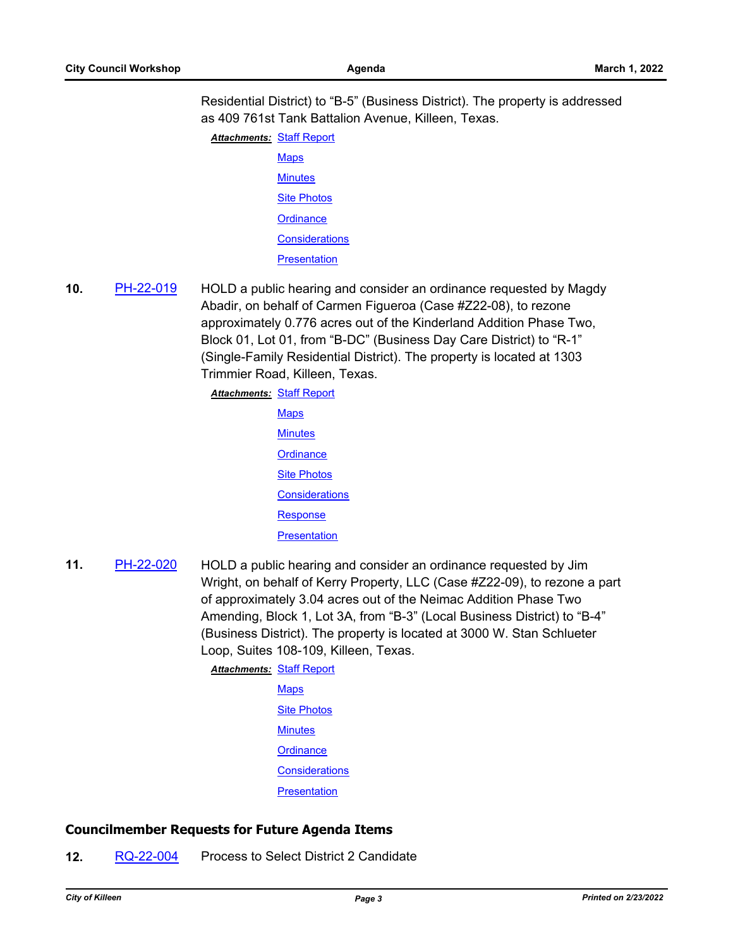Residential District) to "B-5" (Business District). The property is addressed as 409 761st Tank Battalion Avenue, Killeen, Texas.

**Attachments: [Staff Report](http://killeen.legistar.com/gateway.aspx?M=F&ID=f6b027b4-37a8-4fe1-bd67-54bc46cb0f98.pdf) [Maps](http://killeen.legistar.com/gateway.aspx?M=F&ID=54352a3d-dc6a-4f14-94f9-3dfda224f871.pdf) [Minutes](http://killeen.legistar.com/gateway.aspx?M=F&ID=5cb3c470-ce7c-48c5-8f80-dbdee5860e04.pdf)** [Site Photos](http://killeen.legistar.com/gateway.aspx?M=F&ID=ad08ccfa-7752-4feb-a289-5c306debdcd8.pdf) **[Ordinance](http://killeen.legistar.com/gateway.aspx?M=F&ID=c7681cb0-d59e-4b13-a39f-2155636a6bd9.pdf) [Considerations](http://killeen.legistar.com/gateway.aspx?M=F&ID=4b30d031-88a7-47b5-91ba-126aa13586ba.pdf) [Presentation](http://killeen.legistar.com/gateway.aspx?M=F&ID=d91aab24-3414-4799-9c9b-88005a4b93af.pdf)** 

**10.** [PH-22-019](http://killeen.legistar.com/gateway.aspx?m=l&id=/matter.aspx?key=5951) HOLD a public hearing and consider an ordinance requested by Magdy Abadir, on behalf of Carmen Figueroa (Case #Z22-08), to rezone approximately 0.776 acres out of the Kinderland Addition Phase Two, Block 01, Lot 01, from "B-DC" (Business Day Care District) to "R-1" (Single-Family Residential District). The property is located at 1303 Trimmier Road, Killeen, Texas.

> [Staff Report](http://killeen.legistar.com/gateway.aspx?M=F&ID=4fe2cfed-32ac-4daa-8449-904ab6ba3adc.pdf) *Attachments:* **[Maps](http://killeen.legistar.com/gateway.aspx?M=F&ID=df72ce5d-3035-4107-ab83-f9cbc4292985.pdf) [Minutes](http://killeen.legistar.com/gateway.aspx?M=F&ID=3e52be35-370b-4596-aec3-25e156263743.pdf) [Ordinance](http://killeen.legistar.com/gateway.aspx?M=F&ID=cc731b99-2270-480c-9e37-5f0351a38b2e.pdf)** [Site Photos](http://killeen.legistar.com/gateway.aspx?M=F&ID=2ff2e4ee-eda4-46f5-947c-b95b53f5c8bc.pdf) **[Considerations](http://killeen.legistar.com/gateway.aspx?M=F&ID=df81ce7b-e7cf-46b3-b2aa-dae8d6687d69.pdf)**

> > [Response](http://killeen.legistar.com/gateway.aspx?M=F&ID=cb282190-d44f-4d9a-a86f-b0a0ae224819.pdf)

**[Presentation](http://killeen.legistar.com/gateway.aspx?M=F&ID=f680ad04-e6ea-47bc-8aba-c71edad21d78.pdf)** 

**11.** [PH-22-020](http://killeen.legistar.com/gateway.aspx?m=l&id=/matter.aspx?key=5952) HOLD a public hearing and consider an ordinance requested by Jim Wright, on behalf of Kerry Property, LLC (Case #Z22-09), to rezone a part of approximately 3.04 acres out of the Neimac Addition Phase Two Amending, Block 1, Lot 3A, from "B-3" (Local Business District) to "B-4" (Business District). The property is located at 3000 W. Stan Schlueter Loop, Suites 108-109, Killeen, Texas.

> **Attachments: [Staff Report](http://killeen.legistar.com/gateway.aspx?M=F&ID=9c69ea36-1868-4e17-b857-f4eac809ae56.pdf) [Maps](http://killeen.legistar.com/gateway.aspx?M=F&ID=d0814429-3b4c-4875-a131-a3d175a33d39.pdf) [Site Photos](http://killeen.legistar.com/gateway.aspx?M=F&ID=cf053b98-6570-4eed-929d-e04e552c7798.pdf) [Minutes](http://killeen.legistar.com/gateway.aspx?M=F&ID=5e0ef2bb-7359-4b54-906b-01a90798ea36.pdf) [Ordinance](http://killeen.legistar.com/gateway.aspx?M=F&ID=17f94ab0-0229-4b67-a8fb-de77b13d78ae.pdf) [Considerations](http://killeen.legistar.com/gateway.aspx?M=F&ID=fa99d686-823c-4ead-ac53-48f1058772b6.pdf) [Presentation](http://killeen.legistar.com/gateway.aspx?M=F&ID=fbd1b4fd-8afb-4ce6-ab6a-7f6b167700a5.pdf)**

### **Councilmember Requests for Future Agenda Items**

**12.** [RQ-22-004](http://killeen.legistar.com/gateway.aspx?m=l&id=/matter.aspx?key=5981) Process to Select District 2 Candidate